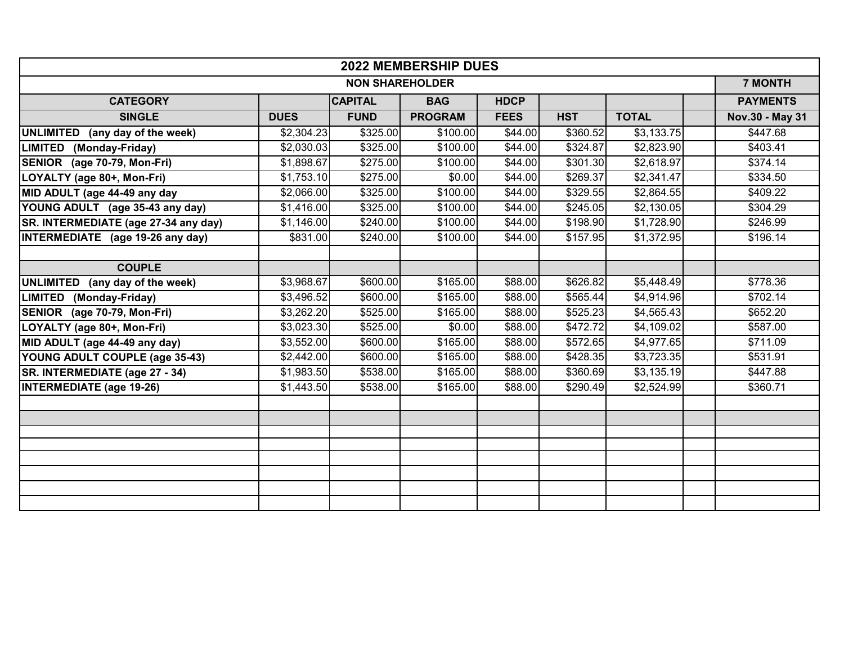| <b>2022 MEMBERSHIP DUES</b>               |             |                      |                |                 |            |              |  |                 |  |  |
|-------------------------------------------|-------------|----------------------|----------------|-----------------|------------|--------------|--|-----------------|--|--|
| <b>NON SHAREHOLDER</b>                    |             |                      |                |                 |            |              |  |                 |  |  |
| <b>CATEGORY</b>                           |             | <b>CAPITAL</b>       | <b>BAG</b>     | <b>HDCP</b>     |            |              |  | <b>PAYMENTS</b> |  |  |
| <b>SINGLE</b>                             | <b>DUES</b> | <b>FUND</b>          | <b>PROGRAM</b> | <b>FEES</b>     | <b>HST</b> | <b>TOTAL</b> |  | Nov.30 - May 31 |  |  |
| <b>UNLIMITED</b><br>(any day of the week) | \$2,304.23  | \$325.00             | \$100.00       | \$44.00         | \$360.52   | \$3,133.75   |  | \$447.68        |  |  |
| <b>LIMITED</b><br>(Monday-Friday)         | \$2,030.03  | \$325.00             | \$100.00       | $\sqrt{$44.00}$ | \$324.87   | \$2,823.90   |  | \$403.41        |  |  |
| SENIOR (age 70-79, Mon-Fri)               | \$1,898.67  | \$275.00             | \$100.00       | \$44.00         | \$301.30   | \$2,618.97   |  | \$374.14        |  |  |
| LOYALTY (age 80+, Mon-Fri)                | \$1,753.10  | $\overline{$275.00}$ | \$0.00         | $\sqrt{$44.00}$ | \$269.37   | \$2,341.47   |  | \$334.50        |  |  |
| MID ADULT (age 44-49 any day              | \$2,066.00  | \$325.00             | \$100.00       | \$44.00         | \$329.55   | \$2,864.55   |  | \$409.22        |  |  |
| YOUNG ADULT (age 35-43 any day)           | \$1,416.00  | \$325.00             | \$100.00       | \$44.00         | \$245.05   | \$2,130.05   |  | \$304.29        |  |  |
| SR. INTERMEDIATE (age 27-34 any day)      | \$1,146.00  | \$240.00             | \$100.00       | \$44.00         | \$198.90   | \$1,728.90   |  | \$246.99        |  |  |
| INTERMEDIATE (age 19-26 any day)          | \$831.00    | \$240.00             | \$100.00       | \$44.00         | \$157.95   | \$1,372.95   |  | \$196.14        |  |  |
|                                           |             |                      |                |                 |            |              |  |                 |  |  |
| <b>COUPLE</b>                             |             |                      |                |                 |            |              |  |                 |  |  |
| <b>UNLIMITED</b><br>(any day of the week) | \$3,968.67  | \$600.00             | \$165.00       | \$88.00         | \$626.82   | \$5,448.49   |  | \$778.36        |  |  |
| <b>LIMITED</b><br>(Monday-Friday)         | \$3,496.52  | \$600.00             | \$165.00       | \$88.00         | \$565.44   | \$4,914.96   |  | \$702.14        |  |  |
| SENIOR (age 70-79, Mon-Fri)               | \$3,262.20  | \$525.00             | \$165.00       | \$88.00         | \$525.23   | \$4,565.43   |  | \$652.20        |  |  |
| LOYALTY (age 80+, Mon-Fri)                | \$3,023.30  | \$525.00             | \$0.00         | \$88.00         | \$472.72   | \$4,109.02   |  | \$587.00        |  |  |
| MID ADULT (age 44-49 any day)             | \$3,552.00  | \$600.00             | \$165.00       | \$88.00         | \$572.65   | \$4,977.65   |  | \$711.09        |  |  |
| YOUNG ADULT COUPLE (age 35-43)            | \$2,442.00  | \$600.00             | \$165.00       | \$88.00         | \$428.35   | \$3,723.35   |  | \$531.91        |  |  |
| SR. INTERMEDIATE (age 27 - 34)            | \$1,983.50  | \$538.00             | \$165.00       | \$88.00         | \$360.69   | \$3,135.19   |  | \$447.88        |  |  |
| <b>INTERMEDIATE (age 19-26)</b>           | \$1,443.50  | \$538.00             | \$165.00       | \$88.00         | \$290.49   | \$2,524.99   |  | \$360.71        |  |  |
|                                           |             |                      |                |                 |            |              |  |                 |  |  |
|                                           |             |                      |                |                 |            |              |  |                 |  |  |
|                                           |             |                      |                |                 |            |              |  |                 |  |  |
|                                           |             |                      |                |                 |            |              |  |                 |  |  |
|                                           |             |                      |                |                 |            |              |  |                 |  |  |
|                                           |             |                      |                |                 |            |              |  |                 |  |  |
|                                           |             |                      |                |                 |            |              |  |                 |  |  |
|                                           |             |                      |                |                 |            |              |  |                 |  |  |